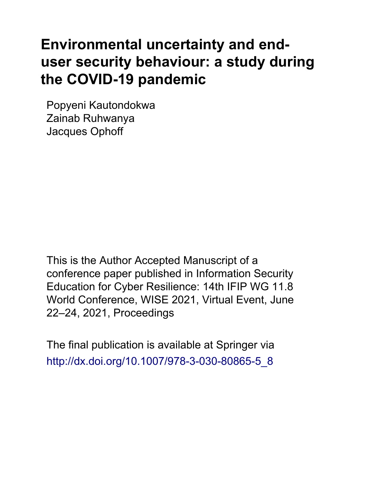# **Environmental uncertainty and enduser security behaviour: a study during the COVID-19 pandemic**

Popyeni Kautondokwa Zainab Ruhwanya Jacques Ophoff

This is the Author Accepted Manuscript of a conference paper published in Information Security Education for Cyber Resilience: 14th IFIP WG 11.8 World Conference, WISE 2021, Virtual Event, June 22–24, 2021, Proceedings

The final publication is available at Springer via http://dx.doi.org/[10.1007/978-3-030-80865-5\\_8](http://dx.doi.org/10.1007/978-3-030-80865-5_8)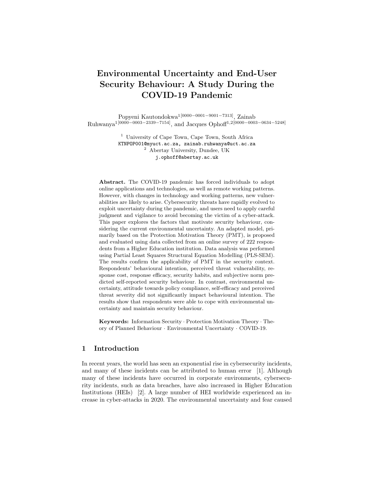# Environmental Uncertainty and End-User Security Behaviour: A Study During the COVID-19 Pandemic

Popyeni Kautondokwa1[0000−0001−9001−7313], Zainab Ruhwanya<sup>1[0000–0003–2339–7154]</sup>, and Jacques Ophoff<sup>1,2[0000–0003–0634–5248]</sup>

> <sup>1</sup> University of Cape Town, Cape Town, South Africa KTNPOP001@myuct.ac.za, zainab.ruhwanya@uct.ac.za <sup>2</sup> Abertay University, Dundee, UK j.ophoff@abertay.ac.uk

Abstract. The COVID-19 pandemic has forced individuals to adopt online applications and technologies, as well as remote working patterns. However, with changes in technology and working patterns, new vulnerabilities are likely to arise. Cybersecurity threats have rapidly evolved to exploit uncertainty during the pandemic, and users need to apply careful judgment and vigilance to avoid becoming the victim of a cyber-attack. This paper explores the factors that motivate security behaviour, considering the current environmental uncertainty. An adapted model, primarily based on the Protection Motivation Theory (PMT), is proposed and evaluated using data collected from an online survey of 222 respondents from a Higher Education institution. Data analysis was performed using Partial Least Squares Structural Equation Modelling (PLS-SEM). The results confirm the applicability of PMT in the security context. Respondents' behavioural intention, perceived threat vulnerability, response cost, response efficacy, security habits, and subjective norm predicted self-reported security behaviour. In contrast, environmental uncertainty, attitude towards policy compliance, self-efficacy and perceived threat severity did not significantly impact behavioural intention. The results show that respondents were able to cope with environmental uncertainty and maintain security behaviour.

Keywords: Information Security · Protection Motivation Theory · Theory of Planned Behaviour · Environmental Uncertainty · COVID-19.

# 1 Introduction

In recent years, the world has seen an exponential rise in cybersecurity incidents, and many of these incidents can be attributed to human error [1]. Although many of these incidents have occurred in corporate environments, cybersecurity incidents, such as data breaches, have also increased in Higher Education Institutions (HEIs) [2]. A large number of HEI worldwide experienced an increase in cyber-attacks in 2020. The environmental uncertainty and fear caused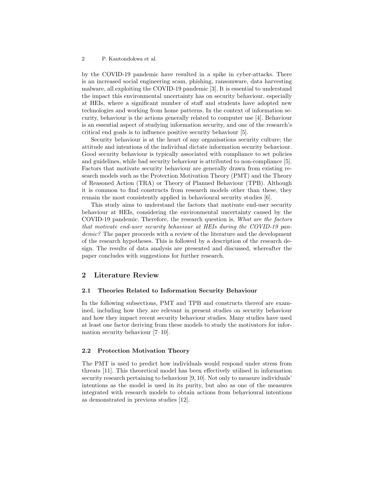by the COVID-19 pandemic have resulted in a spike in cyber-attacks. There is an increased social engineering scam, phishing, ransomware, data harvesting malware, all exploiting the COVID-19 pandemic [3]. It is essential to understand the impact this environmental uncertainty has on security behaviour, especially at HEIs, where a significant number of staff and students have adopted new technologies and working from home patterns. In the context of information security, behaviour is the actions generally related to computer use [4]. Behaviour is an essential aspect of studying information security, and one of the research's critical end goals is to influence positive security behaviour [5].

Security behaviour is at the heart of any organisations security culture; the attitude and intentions of the individual dictate information security behaviour. Good security behaviour is typically associated with compliance to set policies and guidelines, while bad security behaviour is attributed to non-compliance [5]. Factors that motivate security behaviour are generally drawn from existing research models such as the Protection Motivation Theory (PMT) and the Theory of Reasoned Action (TRA) or Theory of Planned Behaviour (TPB). Although it is common to find constructs from research models other than these, they remain the most consistently applied in behavioural security studies [6].

This study aims to understand the factors that motivate end-user security behaviour at HEIs, considering the environmental uncertainty caused by the COVID-19 pandemic. Therefore, the research question is, What are the factors that motivate end-user security behaviour at HEIs during the COVID-19 pandemic? The paper proceeds with a review of the literature and the development of the research hypotheses. This is followed by a description of the research design. The results of data analysis are presented and discussed, whereafter the paper concludes with suggestions for further research.

#### 2 Literature Review

#### 2.1 Theories Related to Information Security Behaviour

In the following subsections, PMT and TPB and constructs thereof are examined, including how they are relevant in present studies on security behaviour and how they impact recent security behaviour studies. Many studies have used at least one factor deriving from these models to study the motivators for information security behaviour [7–10].

#### 2.2 Protection Motivation Theory

The PMT is used to predict how individuals would respond under stress from threats [11]. This theoretical model has been effectively utilised in information security research pertaining to behaviour [9, 10]. Not only to measure individuals' intentions as the model is used in its purity, but also as one of the measures integrated with research models to obtain actions from behavioural intentions as demonstrated in previous studies [12].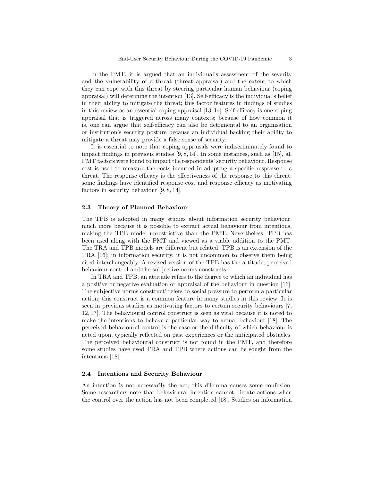In the PMT, it is argued that an individual's assessment of the severity and the vulnerability of a threat (threat appraisal) and the extent to which they can cope with this threat by steering particular human behaviour (coping appraisal) will determine the intention [13]. Self-efficacy is the individual's belief in their ability to mitigate the threat; this factor features in findings of studies in this review as an essential coping appraisal [13, 14]. Self-efficacy is one coping appraisal that is triggered across many contexts; because of how common it is, one can argue that self-efficacy can also be detrimental to an organisation or institution's security posture because an individual backing their ability to mitigate a threat may provide a false sense of security.

It is essential to note that coping appraisals were indiscriminately found to impact findings in previous studies [9, 8, 14]. In some instances, such as [15], all PMT factors were found to impact the respondents' security behaviour. Response cost is used to measure the costs incurred in adopting a specific response to a threat. The response efficacy is the effectiveness of the response to this threat; some findings have identified response cost and response efficacy as motivating factors in security behaviour [9, 8, 14].

#### 2.3 Theory of Planned Behaviour

The TPB is adopted in many studies about information security behaviour, much more because it is possible to extract actual behaviour from intentions, making the TPB model unrestrictive than the PMT. Nevertheless, TPB has been used along with the PMT and viewed as a viable addition to the PMT. The TRA and TPB models are different but related; TPB is an extension of the TRA [16]; in information security, it is not uncommon to observe them being cited interchangeably. A revised version of the TPB has the attitude, perceived behaviour control and the subjective norms constructs.

In TRA and TPB, an attitude refers to the degree to which an individual has a positive or negative evaluation or appraisal of the behaviour in question [16]. The subjective norms construct' refers to social pressure to perform a particular action; this construct is a common feature in many studies in this review. It is seen in previous studies as motivating factors to certain security behaviours [7, 12, 17]. The behavioural control construct is seen as vital because it is noted to make the intentions to behave a particular way to actual behaviour [18]. The perceived behavioural control is the ease or the difficulty of which behaviour is acted upon, typically reflected on past experiences or the anticipated obstacles. The perceived behavioural construct is not found in the PMT, and therefore some studies have used TRA and TPB where actions can be sought from the intentions [18].

#### 2.4 Intentions and Security Behaviour

An intention is not necessarily the act; this dilemma causes some confusion. Some researchers note that behavioural intention cannot dictate actions when the control over the action has not been completed [18]. Studies on information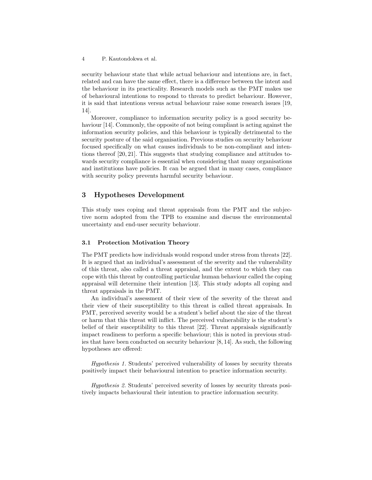security behaviour state that while actual behaviour and intentions are, in fact, related and can have the same effect, there is a difference between the intent and the behaviour in its practicality. Research models such as the PMT makes use of behavioural intentions to respond to threats to predict behaviour. However, it is said that intentions versus actual behaviour raise some research issues [19, 14].

Moreover, compliance to information security policy is a good security behaviour [14]. Commonly, the opposite of not being compliant is acting against the information security policies, and this behaviour is typically detrimental to the security posture of the said organisation. Previous studies on security behaviour focused specifically on what causes individuals to be non-compliant and intentions thereof [20, 21]. This suggests that studying compliance and attitudes towards security compliance is essential when considering that many organisations and institutions have policies. It can be argued that in many cases, compliance with security policy prevents harmful security behaviour.

## 3 Hypotheses Development

This study uses coping and threat appraisals from the PMT and the subjective norm adopted from the TPB to examine and discuss the environmental uncertainty and end-user security behaviour.

#### 3.1 Protection Motivation Theory

The PMT predicts how individuals would respond under stress from threats [22]. It is argued that an individual's assessment of the severity and the vulnerability of this threat, also called a threat appraisal, and the extent to which they can cope with this threat by controlling particular human behaviour called the coping appraisal will determine their intention [13]. This study adopts all coping and threat appraisals in the PMT.

An individual's assessment of their view of the severity of the threat and their view of their susceptibility to this threat is called threat appraisals. In PMT, perceived severity would be a student's belief about the size of the threat or harm that this threat will inflict. The perceived vulnerability is the student's belief of their susceptibility to this threat [22]. Threat appraisals significantly impact readiness to perform a specific behaviour; this is noted in previous studies that have been conducted on security behaviour [8, 14]. As such, the following hypotheses are offered:

Hypothesis 1. Students' perceived vulnerability of losses by security threats positively impact their behavioural intention to practice information security.

Hypothesis 2. Students' perceived severity of losses by security threats positively impacts behavioural their intention to practice information security.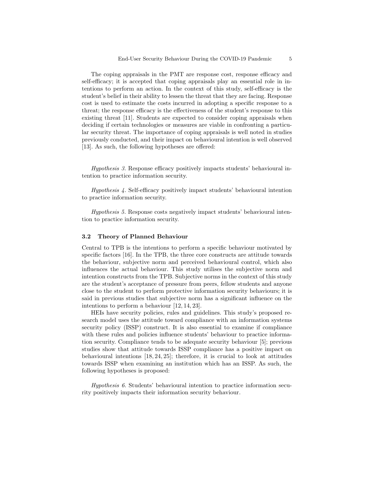The coping appraisals in the PMT are response cost, response efficacy and self-efficacy; it is accepted that coping appraisals play an essential role in intentions to perform an action. In the context of this study, self-efficacy is the student's belief in their ability to lessen the threat that they are facing. Response cost is used to estimate the costs incurred in adopting a specific response to a threat; the response efficacy is the effectiveness of the student's response to this existing threat [11]. Students are expected to consider coping appraisals when deciding if certain technologies or measures are viable in confronting a particular security threat. The importance of coping appraisals is well noted in studies previously conducted, and their impact on behavioural intention is well observed [13]. As such, the following hypotheses are offered:

Hypothesis 3. Response efficacy positively impacts students' behavioural intention to practice information security.

Hypothesis 4. Self-efficacy positively impact students' behavioural intention to practice information security.

Hypothesis 5. Response costs negatively impact students' behavioural intention to practice information security.

#### 3.2 Theory of Planned Behaviour

Central to TPB is the intentions to perform a specific behaviour motivated by specific factors [16]. In the TPB, the three core constructs are attitude towards the behaviour, subjective norm and perceived behavioural control, which also influences the actual behaviour. This study utilises the subjective norm and intention constructs from the TPB. Subjective norms in the context of this study are the student's acceptance of pressure from peers, fellow students and anyone close to the student to perform protective information security behaviours; it is said in previous studies that subjective norm has a significant influence on the intentions to perform a behaviour [12, 14, 23].

HEIs have security policies, rules and guidelines. This study's proposed research model uses the attitude toward compliance with an information systems security policy (ISSP) construct. It is also essential to examine if compliance with these rules and policies influence students' behaviour to practice information security. Compliance tends to be adequate security behaviour [5]; previous studies show that attitude towards ISSP compliance has a positive impact on behavioural intentions [18, 24, 25]; therefore, it is crucial to look at attitudes towards ISSP when examining an institution which has an ISSP. As such, the following hypotheses is proposed:

Hypothesis 6. Students' behavioural intention to practice information security positively impacts their information security behaviour.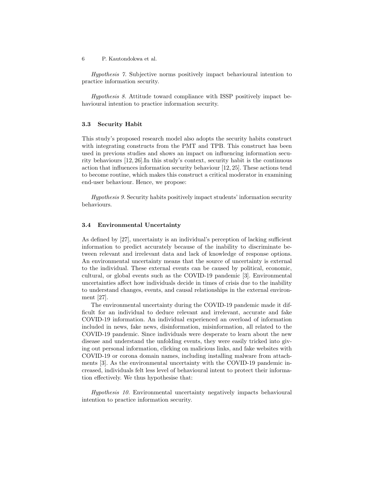Hypothesis 7. Subjective norms positively impact behavioural intention to practice information security.

Hypothesis 8. Attitude toward compliance with ISSP positively impact behavioural intention to practice information security.

#### 3.3 Security Habit

This study's proposed research model also adopts the security habits construct with integrating constructs from the PMT and TPB. This construct has been used in previous studies and shows an impact on influencing information security behaviours [12, 26].In this study's context, security habit is the continuous action that influences information security behaviour [12, 25]. These actions tend to become routine, which makes this construct a critical moderator in examining end-user behaviour. Hence, we propose:

Hypothesis 9. Security habits positively impact students' information security behaviours.

#### 3.4 Environmental Uncertainty

As defined by [27], uncertainty is an individual's perception of lacking sufficient information to predict accurately because of the inability to discriminate between relevant and irrelevant data and lack of knowledge of response options. An environmental uncertainty means that the source of uncertainty is external to the individual. These external events can be caused by political, economic, cultural, or global events such as the COVID-19 pandemic [3]. Environmental uncertainties affect how individuals decide in times of crisis due to the inability to understand changes, events, and causal relationships in the external environment [27].

The environmental uncertainty during the COVID-19 pandemic made it difficult for an individual to deduce relevant and irrelevant, accurate and fake COVID-19 information. An individual experienced an overload of information included in news, fake news, disinformation, misinformation, all related to the COVID-19 pandemic. Since individuals were desperate to learn about the new disease and understand the unfolding events, they were easily tricked into giving out personal information, clicking on malicious links, and fake websites with COVID-19 or corona domain names, including installing malware from attachments [3]. As the environmental uncertainty with the COVID-19 pandemic increased, individuals felt less level of behavioural intent to protect their information effectively. We thus hypothesise that:

Hypothesis 10. Environmental uncertainty negatively impacts behavioural intention to practice information security.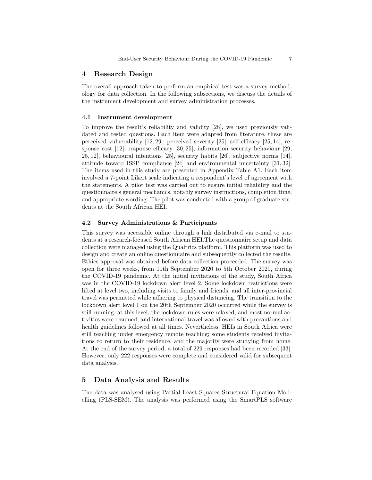#### 4 Research Design

The overall approach taken to perform an empirical test was a survey methodology for data collection. In the following subsections, we discuss the details of the instrument development and survey administration processes.

#### 4.1 Instrument development

To improve the result's reliability and validity [28], we used previously validated and tested questions. Each item were adapted from literature, these are perceived vulnerability [12, 29], perceived severity [25], self-efficacy [25, 14], response cost [12], response efficacy [30, 25], information security behaviour [29, 25, 12], behavioural intentions [25], security habits [26], subjective norms [14], attitude toward ISSP compliance [24] and environmental uncertainty [31, 32]. The items used in this study are presented in Appendix Table A1. Each item involved a 7-point Likert scale indicating a respondent's level of agreement with the statements. A pilot test was carried out to ensure initial reliability and the questionnaire's general mechanics, notably survey instructions, completion time, and appropriate wording. The pilot was conducted with a group of graduate students at the South African HEI.

#### 4.2 Survey Administrations & Participants

This survey was accessible online through a link distributed via e-mail to students at a research-focused South African HEI.The questionnaire setup and data collection were managed using the Qualtrics platform. This platform was used to design and create an online questionnaire and subsequently collected the results. Ethics approval was obtained before data collection proceeded. The survey was open for three weeks, from 11th September 2020 to 5th October 2020, during the COVID-19 pandemic. At the initial invitations of the study, South Africa was in the COVID-19 lockdown alert level 2. Some lockdown restrictions were lifted at level two, including visits to family and friends, and all inter-provincial travel was permitted while adhering to physical distancing. The transition to the lockdown alert level 1 on the 20th September 2020 occurred while the survey is still running; at this level, the lockdown rules were relaxed, and most normal activities were resumed, and international travel was allowed with precautions and health guidelines followed at all times. Nevertheless, HEIs in South Africa were still teaching under emergency remote teaching; some students received invitations to return to their residence, and the majority were studying from home. At the end of the survey period, a total of 229 responses had been recorded [33]. However, only 222 responses were complete and considered valid for subsequent data analysis.

# 5 Data Analysis and Results

The data was analysed using Partial Least Squares Structural Equation Modelling (PLS-SEM). The analysis was performed using the SmartPLS software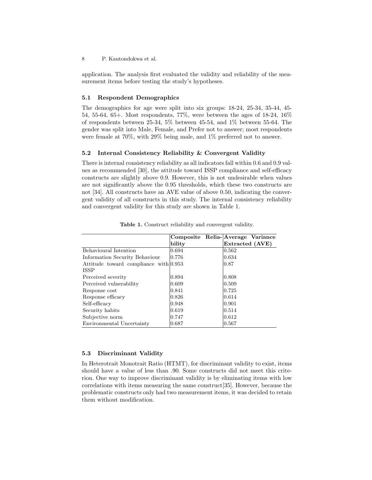application. The analysis first evaluated the validity and reliability of the measurement items before testing the study's hypotheses.

#### 5.1 Respondent Demographics

The demographics for age were split into six groups: 18-24, 25-34, 35-44, 45- 54, 55-64, 65+. Most respondents, 77%, were between the ages of 18-24, 16% of respondents between 25-34, 5% between 45-54, and 1% between 55-64. The gender was split into Male, Female, and Prefer not to answer; most respondents were female at 70%, with 29% being male, and 1% preferred not to answer.

#### 5.2 Internal Consistency Reliability & Convergent Validity

There is internal consistency reliability as all indicators fall within 0.6 and 0.9 values as recommended [30], the attitude toward ISSP compliance and self-efficacy constructs are slightly above 0.9. However, this is not undesirable when values are not significantly above the 0.95 thresholds, which these two constructs are not [34]. All constructs have an AVE value of above 0.50, indicating the convergent validity of all constructs in this study. The internal consistency reliability and convergent validity for this study are shown in Table 1.

|                                         | Composite Relia-Average Variance |                 |  |
|-----------------------------------------|----------------------------------|-----------------|--|
|                                         | bility                           | Extracted (AVE) |  |
| Behavioural Intention                   | 0.694                            | $ 0.562\rangle$ |  |
| Information Security Behaviour          | 0.776                            | 0.634           |  |
| Attitude toward compliance with $0.953$ |                                  | $ 0.87\rangle$  |  |
| <b>ISSP</b>                             |                                  |                 |  |
| Perceived severity                      | 0.894                            | 0.808           |  |
| Perceived vulnerability                 | 0.609                            | 0.509           |  |
| Response cost                           | 10.841                           | 0.725           |  |
| Response efficacy                       | 10.826                           | 0.614           |  |
| Self-efficacy                           | 10.948                           | 10.901          |  |
| Security habits                         | 0.619                            | 0.514           |  |
| Subjective norm                         | 0.747                            | $ 0.612\rangle$ |  |
| Environmental Uncertainty               | 0.687                            | 0.567           |  |

Table 1. Construct reliability and convergent validity.

#### 5.3 Discriminant Validity

In Heterotrait Monotrait Ratio (HTMT), for discriminant validity to exist, items should have a value of less than .90. Some constructs did not meet this criterion. One way to improve discriminant validity is by eliminating items with low correlations with items measuring the same construct[35]. However, because the problematic constructs only had two measurement items, it was decided to retain them without modification.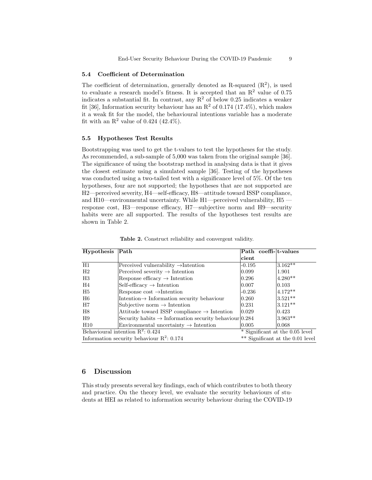#### 5.4 Coefficient of Determination

The coefficient of determination, generally denoted as R-squared  $(R<sup>2</sup>)$ , is used to evaluate a research model's fitness. It is accepted that an  $\mathbb{R}^2$  value of 0.75 indicates a substantial fit. In contrast, any  $R^2$  of below 0.25 indicates a weaker fit [36], Information security behaviour has an  $R^2$  of 0.174 (17.4%), which makes it a weak fit for the model, the behavioural intentions variable has a moderate fit with an  $R^2$  value of 0.424 (42.4%).

#### 5.5 Hypotheses Test Results

Bootstrapping was used to get the t-values to test the hypotheses for the study. As recommended, a sub-sample of 5,000 was taken from the original sample [36]. The significance of using the bootstrap method in analysing data is that it gives the closest estimate using a simulated sample [36]. Testing of the hypotheses was conducted using a two-tailed test with a significance level of 5%. Of the ten hypotheses, four are not supported; the hypotheses that are not supported are H2—perceived severity, H4—self-efficacy, H8—attitude toward ISSP compliance, and H10—environmental uncertainty. While H1—perceived vulnerability, H5 response cost, H3—response efficacy, H7—subjective norm and H9—security habits were are all supported. The results of the hypotheses test results are shown in Table 2.

| Hypothesis                                   | $\vert$ Path                                                       | Path coeffi-t-values             |                                 |
|----------------------------------------------|--------------------------------------------------------------------|----------------------------------|---------------------------------|
|                                              |                                                                    | cient                            |                                 |
| H1                                           | Perceived vulnerability $\rightarrow$ Intention                    | $-0.195$                         | $3.162**$                       |
| H2                                           | Perceived severity $\rightarrow$ Intention                         | 0.099                            | 1.901                           |
| H3                                           | Response efficacy $\rightarrow$ Intention                          | 0.296                            | $4.280**$                       |
| H4                                           | $Self\text{-efficacy} \rightarrow Intention$                       | 0.007                            | 0.103                           |
| H <sub>5</sub>                               | Response $\text{cost} \rightarrow \text{Intention}$                | $-0.236$                         | $4.172**$                       |
| H <sub>6</sub>                               | Intention $\rightarrow$ Information security behaviour             | 0.260                            | $3.521**$                       |
| H7                                           | Subjective norm $\rightarrow$ Intention                            | 0.231                            | $3.121**$                       |
| H8                                           | Attitude toward ISSP compliance $\rightarrow$ Intention            | 0.029                            | 0.423                           |
| H9                                           | Security habits $\rightarrow$ Information security behaviour 0.284 |                                  | $3.963**$                       |
| H10                                          | Environmental uncertainty $\rightarrow$ Intention                  | 0.005                            | 0.068                           |
| Behavioural intention $R^2$ : 0.424          |                                                                    |                                  | * Significant at the 0.05 level |
| Information security behaviour $R^2$ : 0.174 |                                                                    | ** Significant at the 0.01 level |                                 |

Table 2. Construct reliability and convergent validity.

## 6 Discussion

This study presents several key findings, each of which contributes to both theory and practice. On the theory level, we evaluate the security behaviours of students at HEI as related to information security behaviour during the COVID-19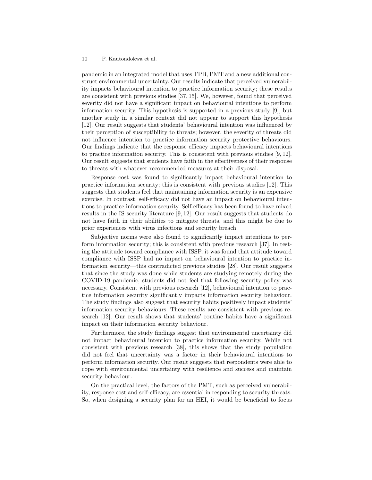pandemic in an integrated model that uses TPB, PMT and a new additional construct environmental uncertainty. Our results indicate that perceived vulnerability impacts behavioural intention to practice information security; these results are consistent with previous studies [37, 15]. We, however, found that perceived severity did not have a significant impact on behavioural intentions to perform information security. This hypothesis is supported in a previous study [9], but another study in a similar context did not appear to support this hypothesis [12]. Our result suggests that students' behavioural intention was influenced by their perception of susceptibility to threats; however, the severity of threats did not influence intention to practice information security protective behaviours. Our findings indicate that the response efficacy impacts behavioural intentions to practice information security. This is consistent with previous studies [9, 12]. Our result suggests that students have faith in the effectiveness of their response to threats with whatever recommended measures at their disposal.

Response cost was found to significantly impact behavioural intention to practice information security; this is consistent with previous studies [12]. This suggests that students feel that maintaining information security is an expensive exercise. In contrast, self-efficacy did not have an impact on behavioural intentions to practice information security. Self-efficacy has been found to have mixed results in the IS security literature [9, 12]. Our result suggests that students do not have faith in their abilities to mitigate threats, and this might be due to prior experiences with virus infections and security breach.

Subjective norms were also found to significantly impact intentions to perform information security; this is consistent with previous research [37]. In testing the attitude toward compliance with ISSP, it was found that attitude toward compliance with ISSP had no impact on behavioural intention to practice information security—this contradicted previous studies [28]. Our result suggests that since the study was done while students are studying remotely during the COVID-19 pandemic, students did not feel that following security policy was necessary. Consistent with previous research [12], behavioural intention to practice information security significantly impacts information security behaviour. The study findings also suggest that security habits positively impact students' information security behaviours. These results are consistent with previous research [12]. Our result shows that students' routine habits have a significant impact on their information security behaviour.

Furthermore, the study findings suggest that environmental uncertainty did not impact behavioural intention to practice information security. While not consistent with previous research [38], this shows that the study population did not feel that uncertainty was a factor in their behavioural intentions to perform information security. Our result suggests that respondents were able to cope with environmental uncertainty with resilience and success and maintain security behaviour.

On the practical level, the factors of the PMT, such as perceived vulnerability, response cost and self-efficacy, are essential in responding to security threats. So, when designing a security plan for an HEI, it would be beneficial to focus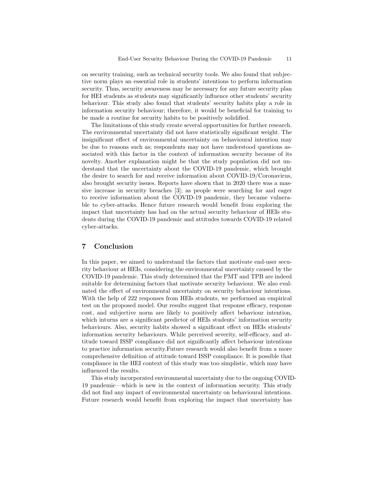on security training, such as technical security tools. We also found that subjective norm plays an essential role in students' intentions to perform information security. Thus, security awareness may be necessary for any future security plan for HEI students as students may significantly influence other students' security behaviour. This study also found that students' security habits play a role in information security behaviour; therefore, it would be beneficial for training to be made a routine for security habits to be positively solidified.

The limitations of this study create several opportunities for further research. The environmental uncertainty did not have statistically significant weight. The insignificant effect of environmental uncertainty on behavioural intention may be due to reasons such as; respondents may not have understood questions associated with this factor in the context of information security because of its novelty. Another explanation might be that the study population did not understand that the uncertainty about the COVID-19 pandemic, which brought the desire to search for and receive information about COVID-19/Coronavirus, also brought security issues. Reports have shown that in 2020 there was a massive increase in security breaches [3]; as people were searching for and eager to receive information about the COVID-19 pandemic, they became vulnerable to cyber-attacks. Hence future research would benefit from exploring the impact that uncertainty has had on the actual security behaviour of HEIs students during the COVID-19 pandemic and attitudes towards COVID-19 related cyber-attacks.

# 7 Conclusion

In this paper, we aimed to understand the factors that motivate end-user security behaviour at HEIs, considering the environmental uncertainty caused by the COVID-19 pandemic. This study determined that the PMT and TPB are indeed suitable for determining factors that motivate security behaviour. We also evaluated the effect of environmental uncertainty on security behaviour intentions. With the help of 222 responses from HEIs students, we performed an empirical test on the proposed model. Our results suggest that response efficacy, response cost, and subjective norm are likely to positively affect behaviour intention, which inturns are a significant predictor of HEIs students' information security behaviours. Also, security habits showed a significant effect on HEIs students' information security behaviours. While perceived severity, self-efficacy, and attitude toward ISSP compliance did not significantly affect behaviour intentions to practice information security.Future research would also benefit from a more comprehensive definition of attitude toward ISSP compliance. It is possible that compliance in the HEI context of this study was too simplistic, which may have influenced the results.

This study incorporated environmental uncertainty due to the ongoing COVID-19 pandemic—which is new in the context of information security. This study did not find any impact of environmental uncertainty on behavioural intentions. Future research would benefit from exploring the impact that uncertainty has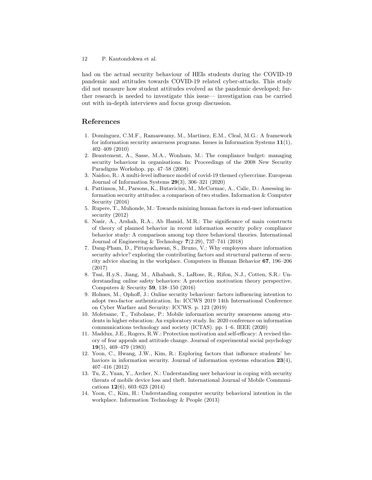had on the actual security behaviour of HEIs students during the COVID-19 pandemic and attitudes towards COVID-19 related cyber-attacks. This study did not measure how student attitudes evolved as the pandemic developed; further research is needed to investigate this issue— investigation can be carried out with in-depth interviews and focus group discussion.

## References

- 1. Dom´ınguez, C.M.F., Ramaswamy, M., Martinez, E.M., Cleal, M.G.: A framework for information security awareness programs. Issues in Information Systems  $11(1)$ , 402–409 (2010)
- 2. Beautement, A., Sasse, M.A., Wonham, M.: The compliance budget: managing security behaviour in organisations. In: Proceedings of the 2008 New Security Paradigms Workshop. pp. 47–58 (2008)
- 3. Naidoo, R.: A multi-level influence model of covid-19 themed cybercrime. European Journal of Information Systems 29(3), 306–321 (2020)
- 4. Pattinson, M., Parsons, K., Butavicius, M., McCormac, A., Calic, D.: Assessing information security attitudes: a comparison of two studies. Information & Computer Security (2016)
- 5. Rupere, T., Muhonde, M.: Towards minizing human factors in end-user information security (2012)
- 6. Nasir, A., Arshah, R.A., Ab Hamid, M.R.: The significance of main constructs of theory of planned behavior in recent information security policy compliance behavior study: A comparison among top three behavioral theories. International Journal of Engineering & Technology  $7(2.29)$ , 737–741 (2018)
- 7. Dang-Pham, D., Pittayachawan, S., Bruno, V.: Why employees share information security advice? exploring the contributing factors and structural patterns of security advice sharing in the workplace. Computers in Human Behavior 67, 196–206 (2017)
- 8. Tsai, H.y.S., Jiang, M., Alhabash, S., LaRose, R., Rifon, N.J., Cotten, S.R.: Understanding online safety behaviors: A protection motivation theory perspective. Computers & Security 59, 138–150 (2016)
- 9. Holmes, M., Ophoff, J.: Online security behaviour: factors influencing intention to adopt two-factor authentication. In: ICCWS 2019 14th International Conference on Cyber Warfare and Security: ICCWS. p. 123 (2019)
- 10. Moletsane, T., Tsibolane, P.: Mobile information security awareness among students in higher education: An exploratory study. In: 2020 conference on information communications technology and society (ICTAS). pp. 1–6. IEEE (2020)
- 11. Maddux, J.E., Rogers, R.W.: Protection motivation and self-efficacy: A revised theory of fear appeals and attitude change. Journal of experimental social psychology 19(5), 469–479 (1983)
- 12. Yoon, C., Hwang, J.W., Kim, R.: Exploring factors that influence students' behaviors in information security. Journal of information systems education  $23(4)$ , 407–416 (2012)
- 13. Tu, Z., Yuan, Y., Archer, N.: Understanding user behaviour in coping with security threats of mobile device loss and theft. International Journal of Mobile Communications 12(6), 603–623 (2014)
- 14. Yoon, C., Kim, H.: Understanding computer security behavioral intention in the workplace. Information Technology & People (2013)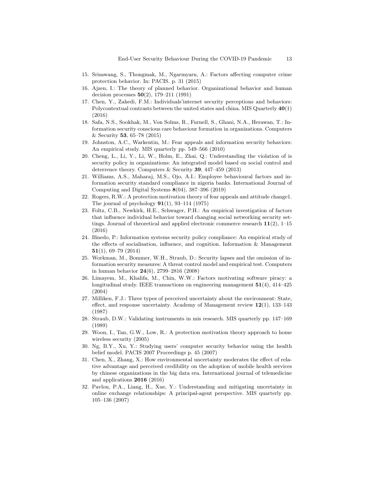- 15. Srisawang, S., Thongmak, M., Ngarmyarn, A.: Factors affecting computer crime protection behavior. In: PACIS. p. 31 (2015)
- 16. Ajzen, I.: The theory of planned behavior. Organizational behavior and human decision processes 50(2), 179–211 (1991)
- 17. Chen, Y., Zahedi, F.M.: Individuals'internet security perceptions and behaviors: Polycontextual contrasts between the united states and china. MIS Quarterly 40(1) (2016)
- 18. Safa, N.S., Sookhak, M., Von Solms, R., Furnell, S., Ghani, N.A., Herawan, T.: Information security conscious care behaviour formation in organizations. Computers & Security 53, 65–78 (2015)
- 19. Johnston, A.C., Warkentin, M.: Fear appeals and information security behaviors: An empirical study. MIS quarterly pp. 549–566 (2010)
- 20. Cheng, L., Li, Y., Li, W., Holm, E., Zhai, Q.: Understanding the violation of is security policy in organizations: An integrated model based on social control and deterrence theory. Computers & Security 39, 447–459 (2013)
- 21. Williams, A.S., Maharaj, M.S., Ojo, A.I.: Employee behavioural factors and information security standard compliance in nigeria banks. International Journal of Computing and Digital Systems 8(04), 387–396 (2019)
- 22. Rogers, R.W.: A protection motivation theory of fear appeals and attitude change1. The journal of psychology  $91(1)$ ,  $93-114$  (1975)
- 23. Foltz, C.B., Newkirk, H.E., Schwager, P.H.: An empirical investigation of factors that influence individual behavior toward changing social networking security settings. Journal of theoretical and applied electronic commerce research  $11(2)$ , 1–15 (2016)
- 24. Ifinedo, P.: Information systems security policy compliance: An empirical study of the effects of socialisation, influence, and cognition. Information & Management 51(1), 69–79 (2014)
- 25. Workman, M., Bommer, W.H., Straub, D.: Security lapses and the omission of information security measures: A threat control model and empirical test. Computers in human behavior 24(6), 2799–2816 (2008)
- 26. Limayem, M., Khalifa, M., Chin, W.W.: Factors motivating software piracy: a longitudinal study. IEEE transactions on engineering management  $51(4)$ ,  $414-425$ (2004)
- 27. Milliken, F.J.: Three types of perceived uncertainty about the environment: State, effect, and response uncertainty. Academy of Management review  $12(1)$ , 133–143 (1987)
- 28. Straub, D.W.: Validating instruments in mis research. MIS quarterly pp. 147–169 (1989)
- 29. Woon, I., Tan, G.W., Low, R.: A protection motivation theory approach to home wireless security (2005)
- 30. Ng, B.Y., Xu, Y.: Studying users' computer security behavior using the health belief model. PACIS 2007 Proceedings p. 45 (2007)
- 31. Chen, X., Zhang, X.: How environmental uncertainty moderates the effect of relative advantage and perceived credibility on the adoption of mobile health services by chinese organizations in the big data era. International journal of telemedicine and applications 2016 (2016)
- 32. Pavlou, P.A., Liang, H., Xue, Y.: Understanding and mitigating uncertainty in online exchange relationships: A principal-agent perspective. MIS quarterly pp. 105–136 (2007)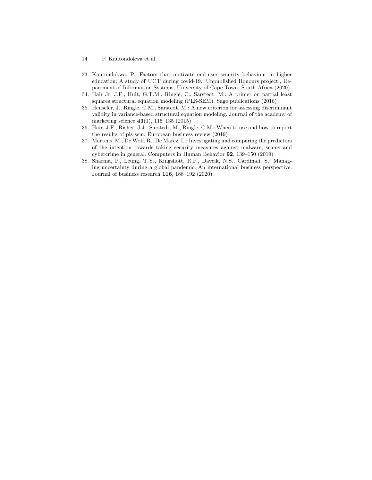- 14 P. Kautondokwa et al.
- 33. Kautondokwa, P.: Factors that motivate end-user security behaviour in higher education: A study of UCT during covid-19. [Unpublished Honours project], Department of Information Systems, University of Cape Town, South Africa (2020)
- 34. Hair Jr, J.F., Hult, G.T.M., Ringle, C., Sarstedt, M.: A primer on partial least squares structural equation modeling (PLS-SEM). Sage publications (2016)
- 35. Henseler, J., Ringle, C.M., Sarstedt, M.: A new criterion for assessing discriminant validity in variance-based structural equation modeling. Journal of the academy of marketing science 43(1), 115–135 (2015)
- 36. Hair, J.F., Risher, J.J., Sarstedt, M., Ringle, C.M.: When to use and how to report the results of pls-sem. European business review (2019)
- 37. Martens, M., De Wolf, R., De Marez, L.: Investigating and comparing the predictors of the intention towards taking security measures against malware, scams and cybercrime in general. Computers in Human Behavior 92, 139–150 (2019)
- 38. Sharma, P., Leung, T.Y., Kingshott, R.P., Davcik, N.S., Cardinali, S.: Managing uncertainty during a global pandemic: An international business perspective. Journal of business research 116, 188–192 (2020)